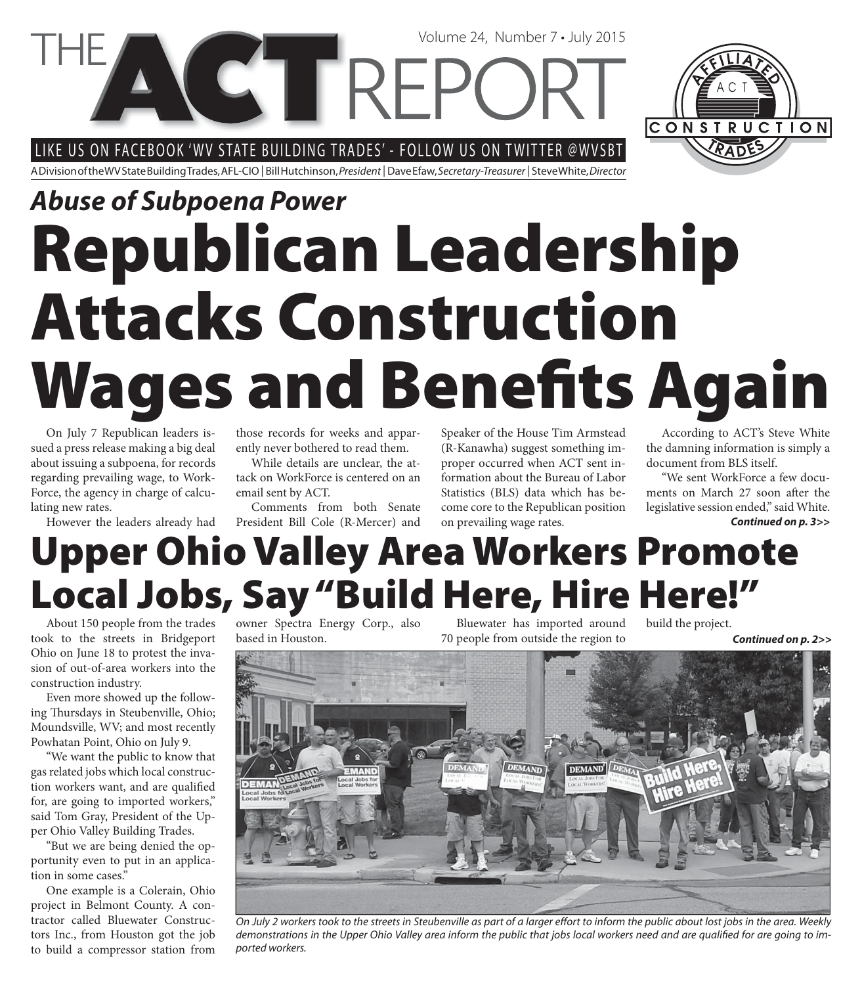LIKE US ON FACEBOOK 'WV STATE BUILDING TRADES' - FOLLOW US ON TWITTER @WVSBT

**CETRE** 

A Division of the WV State Building Trades, AFL-CIO | Bill Hutchinson, President | Dave Efaw, Secretary-Treasurer | Steve White, Director

# **Republican Leadership Attacks Construction Wages and Benefits Again** *Abuse of Subpoena Power*

On July 7 Republican leaders issued a press release making a big deal about issuing a subpoena, for records regarding prevailing wage, to Work-Force, the agency in charge of calculating new rates.

However the leaders already had

those records for weeks and apparently never bothered to read them.

While details are unclear, the attack on WorkForce is centered on an email sent by ACT.

Comments from both Senate President Bill Cole (R-Mercer) and Speaker of the House Tim Armstead (R-Kanawha) suggest something improper occurred when ACT sent information about the Bureau of Labor Statistics (BLS) data which has become core to the Republican position on prevailing wage rates.

According to ACT's Steve White the damning information is simply a document from BLS itself.

"We sent WorkForce a few documents on March 27 soon after the legislative session ended," said White. *Continued on p. 3>>*

# **Upper Ohio Valley Area Workers Promote Local Jobs, Say "Build Here, Hire Here!"**

About 150 people from the trades took to the streets in Bridgeport Ohio on June 18 to protest the invasion of out-of-area workers into the construction industry.

Even more showed up the following Thursdays in Steubenville, Ohio; Moundsville, WV; and most recently Powhatan Point, Ohio on July 9.

"We want the public to know that gas related jobs which local construction workers want, and are qualified for, are going to imported workers," said Tom Gray, President of the Upper Ohio Valley Building Trades.

"But we are being denied the opportunity even to put in an application in some cases."

One example is a Colerain, Ohio project in Belmont County. A contractor called Bluewater Constructors Inc., from Houston got the job to build a compressor station from

owner Spectra Energy Corp., also based in Houston.

Bluewater has imported around 70 people from outside the region to

build the project.

*Continued on p. 2>>*



On July 2 workers took to the streets in Steubenville as part of a larger effort to inform the public about lost jobs in the area. Weekly demonstrations in the Upper Ohio Valley area inform the public that jobs local workers need and are qualified for are going to imported workers.



Volume 24, Number 7 • July 2015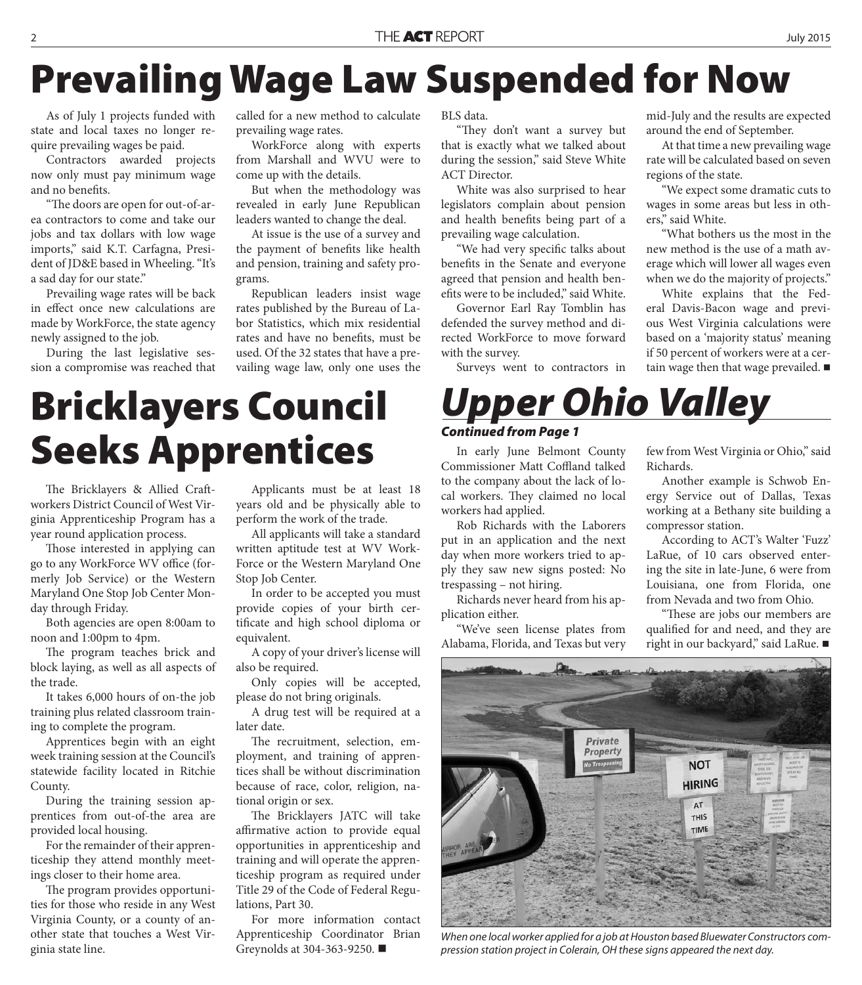# **Prevailing Wage Law Suspended for Now**

As of July 1 projects funded with state and local taxes no longer require prevailing wages be paid.

Contractors awarded projects now only must pay minimum wage and no benefits.

"The doors are open for out-of-area contractors to come and take our jobs and tax dollars with low wage imports," said K.T. Carfagna, President of JD&E based in Wheeling. "It's a sad day for our state."

Prevailing wage rates will be back in effect once new calculations are made by WorkForce, the state agency newly assigned to the job.

During the last legislative session a compromise was reached that called for a new method to calculate prevailing wage rates.

WorkForce along with experts from Marshall and WVU were to come up with the details.

But when the methodology was revealed in early June Republican leaders wanted to change the deal.

At issue is the use of a survey and the payment of benefits like health and pension, training and safety programs.

Republican leaders insist wage rates published by the Bureau of Labor Statistics, which mix residential rates and have no benefits, must be used. Of the 32 states that have a prevailing wage law, only one uses the

**Bricklayers Council Seeks Apprentices**

The Bricklayers & Allied Craftworkers District Council of West Virginia Apprenticeship Program has a year round application process.

Those interested in applying can go to any WorkForce WV office (formerly Job Service) or the Western Maryland One Stop Job Center Monday through Friday.

Both agencies are open 8:00am to noon and 1:00pm to 4pm.

The program teaches brick and block laying, as well as all aspects of the trade.

It takes 6,000 hours of on-the job training plus related classroom training to complete the program.

Apprentices begin with an eight week training session at the Council's statewide facility located in Ritchie County.

During the training session apprentices from out-of-the area are provided local housing.

For the remainder of their apprenticeship they attend monthly meetings closer to their home area.

The program provides opportunities for those who reside in any West Virginia County, or a county of another state that touches a West Virginia state line.

Applicants must be at least 18 years old and be physically able to perform the work of the trade.

All applicants will take a standard written aptitude test at WV Work-Force or the Western Maryland One Stop Job Center.

In order to be accepted you must provide copies of your birth certificate and high school diploma or equivalent.

A copy of your driver's license will also be required.

Only copies will be accepted, please do not bring originals.

A drug test will be required at a later date.

The recruitment, selection, employment, and training of apprentices shall be without discrimination because of race, color, religion, national origin or sex.

The Bricklayers JATC will take affirmative action to provide equal opportunities in apprenticeship and training and will operate the apprenticeship program as required under Title 29 of the Code of Federal Regulations, Part 30.

For more information contact Apprenticeship Coordinator Brian Greynolds at 304-363-9250.

BLS data.

"They don't want a survey but that is exactly what we talked about during the session," said Steve White ACT Director.

White was also surprised to hear legislators complain about pension and health benefits being part of a prevailing wage calculation.

"We had very specific talks about benefits in the Senate and everyone agreed that pension and health benefits were to be included," said White.

Governor Earl Ray Tomblin has defended the survey method and directed WorkForce to move forward with the survey.

Surveys went to contractors in

In early June Belmont County Commissioner Matt Coffland talked to the company about the lack of local workers. They claimed no local

*Upper Ohio Valley*

Rob Richards with the Laborers put in an application and the next day when more workers tried to apply they saw new signs posted: No

Richards never heard from his ap-

"We've seen license plates from

workers had applied.

*Continued from Page 1*

trespassing – not hiring.

plication either.

mid-July and the results are expected around the end of September.

At that time a new prevailing wage rate will be calculated based on seven regions of the state.

"We expect some dramatic cuts to wages in some areas but less in others," said White.

"What bothers us the most in the new method is the use of a math average which will lower all wages even when we do the majority of projects."

White explains that the Federal Davis-Bacon wage and previous West Virginia calculations were based on a 'majority status' meaning if 50 percent of workers were at a certain wage then that wage prevailed.  $\blacksquare$ 

few from West Virginia or Ohio," said Richards.

Another example is Schwob Energy Service out of Dallas, Texas working at a Bethany site building a compressor station.

According to ACT's Walter 'Fuzz' LaRue, of 10 cars observed entering the site in late-June, 6 were from Louisiana, one from Florida, one from Nevada and two from Ohio.

"These are jobs our members are qualified for and need, and they are right in our backyard," said LaRue. ■

Alabama, Florida, and Texas but very Diamond D **Private Property NOT HIRING** AT **THIS** TIME

When one local worker applied for a job at Houston based Bluewater Constructors compression station project in Colerain, OH these signs appeared the next day.

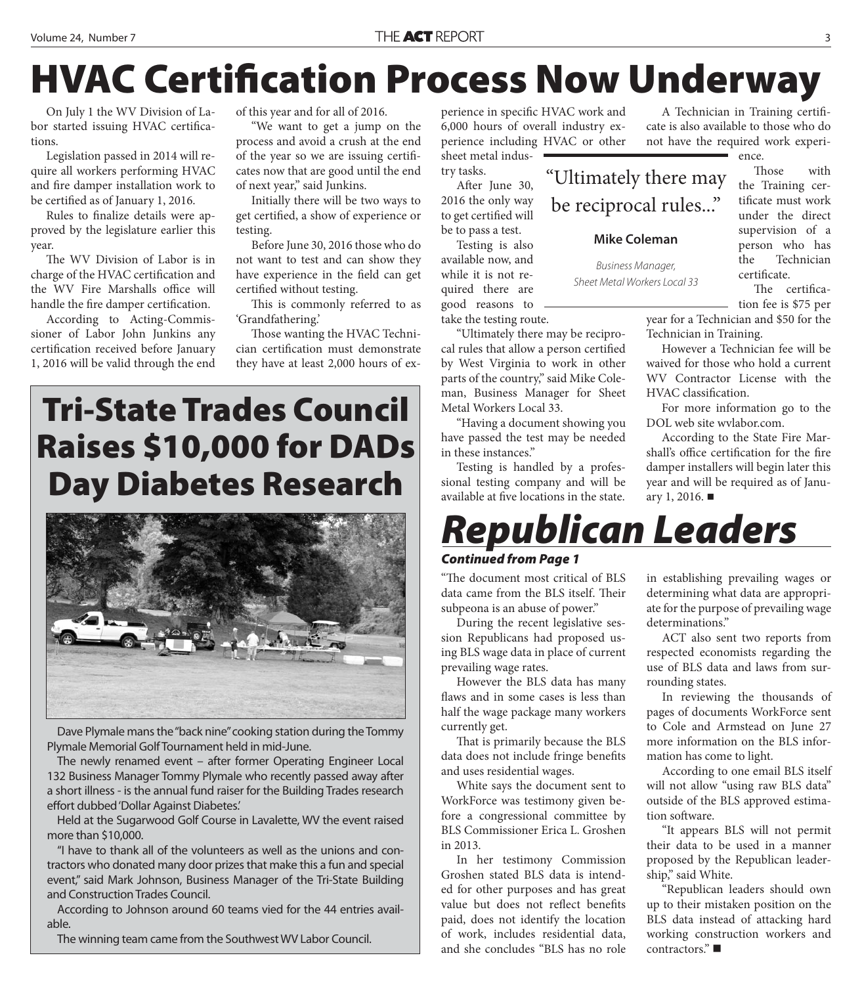# **HVAC Certification Process Now Underway**

On July 1 the WV Division of Labor started issuing HVAC certifications.

Legislation passed in 2014 will require all workers performing HVAC and fire damper installation work to be certified as of January 1, 2016.

Rules to finalize details were approved by the legislature earlier this year.

The WV Division of Labor is in charge of the HVAC certification and the WV Fire Marshalls office will handle the fire damper certification.

According to Acting-Commissioner of Labor John Junkins any certification received before January 1, 2016 will be valid through the end

of this year and for all of 2016.

"We want to get a jump on the process and avoid a crush at the end of the year so we are issuing certifi cates now that are good until the end of next year," said Junkins.

Initially there will be two ways to get certified, a show of experience or testing.

Before June 30, 2016 those who do not want to test and can show they have experience in the field can get certified without testing.

This is commonly referred to as 'Grandfathering.'

Those wanting the HVAC Technician certification must demonstrate they have at least 2,000 hours of ex-

### **Tri-State Trades Council Raises \$10,000 for DADs Day Diabetes Research**



Dave Plymale mans the "back nine" cooking station during the Tommy Plymale Memorial Golf Tournament held in mid-June.

The newly renamed event – after former Operating Engineer Local 132 Business Manager Tommy Plymale who recently passed away after a short illness - is the annual fund raiser for the Building Trades research effort dubbed 'Dollar Against Diabetes.'

Held at the Sugarwood Golf Course in Lavalette, WV the event raised more than \$10,000.

"I have to thank all of the volunteers as well as the unions and contractors who donated many door prizes that make this a fun and special event," said Mark Johnson, Business Manager of the Tri-State Building and Construction Trades Council.

According to Johnson around 60 teams vied for the 44 entries available.

The winning team came from the Southwest WV Labor Council.

perience in specific HVAC work and 6,000 hours of overall industry experience including HVAC or other sheet metal indus-

try tasks. After June 30, 2016 the only way

to get certified will be to pass a test.

Testing is also available now, and while it is not required there are good reasons to take the testing route.

"Ultimately there may be reciprocal rules that allow a person certified by West Virginia to work in other parts of the country," said Mike Coleman, Business Manager for Sheet Metal Workers Local 33.

"Having a document showing you have passed the test may be needed in these instances."

Testing is handled by a professional testing company and will be available at five locations in the state.

A Technician in Training certificate is also available to those who do not have the required work experi-

ence.

"Ultimately there may be reciprocal rules..."

#### **Mike Coleman**

Business Manager, Sheet Metal Workers Local 33

Those with the Training certificate must work under the direct supervision of a person who has the Technician certificate. The certifica-

tion fee is \$75 per

year for a Technician and \$50 for the Technician in Training.

However a Technician fee will be waived for those who hold a current WV Contractor License with the HVAC classification.

For more information go to the DOL web site wvlabor.com.

According to the State Fire Marshall's office certification for the fire damper installers will begin later this year and will be required as of January 1, 2016.  $\blacksquare$ 

### *Republican Leaders*

#### *Continued from Page 1*

"The document most critical of BLS data came from the BLS itself. Their subpeona is an abuse of power."

During the recent legislative session Republicans had proposed using BLS wage data in place of current prevailing wage rates.

However the BLS data has many flaws and in some cases is less than half the wage package many workers currently get.

That is primarily because the BLS data does not include fringe benefits and uses residential wages.

White says the document sent to WorkForce was testimony given before a congressional committee by BLS Commissioner Erica L. Groshen in 2013.

In her testimony Commission Groshen stated BLS data is intended for other purposes and has great value but does not reflect benefits paid, does not identify the location of work, includes residential data, and she concludes "BLS has no role

in establishing prevailing wages or determining what data are appropriate for the purpose of prevailing wage determinations."

ACT also sent two reports from respected economists regarding the use of BLS data and laws from surrounding states.

In reviewing the thousands of pages of documents WorkForce sent to Cole and Armstead on June 27 more information on the BLS information has come to light.

According to one email BLS itself will not allow "using raw BLS data" outside of the BLS approved estimation software.

"It appears BLS will not permit their data to be used in a manner proposed by the Republican leadership," said White.

"Republican leaders should own up to their mistaken position on the BLS data instead of attacking hard working construction workers and contractors."